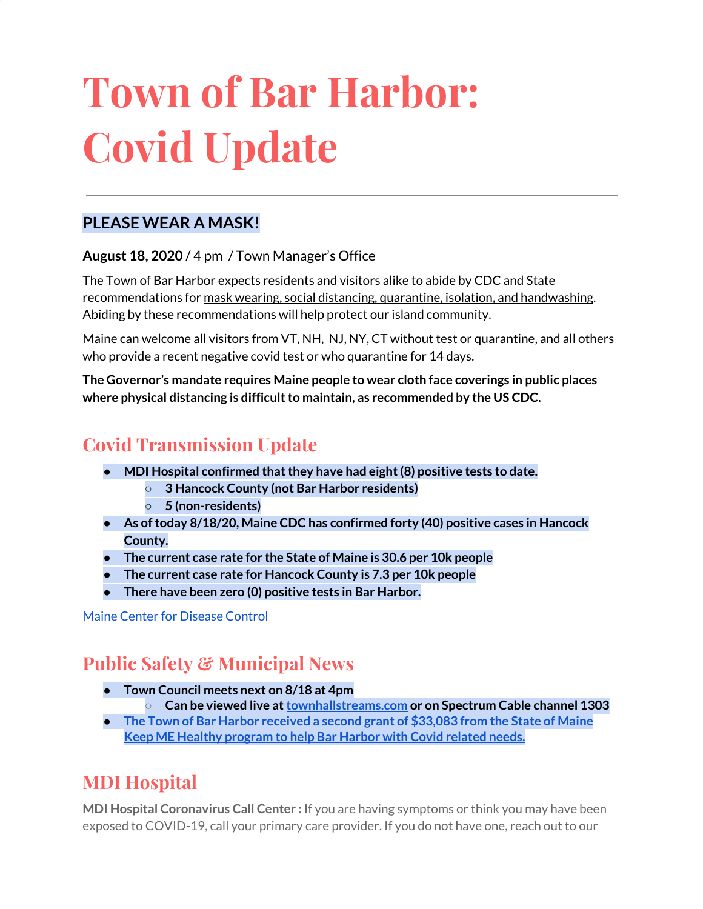# **Town of Bar Harbor: Covid Update**

### **PLEASE WEAR A MASK!**

**August 18, 2020** / 4 pm / Town Manager's Office

The Town of Bar Harbor expects residents and visitors alike to abide by CDC and State recommendations for mask wearing, social distancing, quarantine, isolation, and handwashing. Abiding by these recommendations will help protect our island community.

Maine can welcome all visitors from VT, NH, NJ, NY, CT without test or quarantine, and all others who provide a recent negative covid test or who quarantine for 14 days.

**The Governor's mandate requires Maine people to wear cloth face coverings in public places where physical distancing is difficultto maintain, as recommended by the US CDC.**

# **Covid Transmission Update**

- **● MDI Hospital confirmed thatthey have had eight(8) positive tests to date.**
	- **○ 3 Hancock County (not Bar Harbor residents)**
	- **○ 5 (non-residents)**
- **● As oftoday 8/18/20, Maine CDC has confirmed forty (40) positive cases in Hancock County.**
- **● The current case rate for the State of Maine is 30.6 per 10k people**
- **● The current case rate for Hancock County is 7.3 per 10k people**
- **There have been zero (0) positive tests in Bar Harbor.**

Maine Center for [Disease](https://www.maine.gov/dhhs/mecdc/infectious-disease/epi/airborne/coronavirus.shtml) Control

# **Public Safety & Municipal News**

- **● Town Council meets next on 8/18 at 4pm**
	- **○ Can be viewed live at[townhallstreams.com](https://townhallstreams.com/) or on Spectrum Cable channel 1303**
- **● The Town of Bar Harbor [received](https://www.maine.gov/governor/mills/news/mills-administration-approves-second-round-covid-19-prevention-and-protection-awards-under) a second grant of \$33,083 from the State of Maine Keep ME Healthy [program](https://www.maine.gov/governor/mills/news/mills-administration-approves-second-round-covid-19-prevention-and-protection-awards-under) to help Bar Harbor with Covid related needs.**

# **MDI Hospital**

**MDI Hospital Coronavirus Call Center :** If you are having symptoms or think you may have been exposed to COVID-19, call your primary care provider. If you do not have one, reach out to our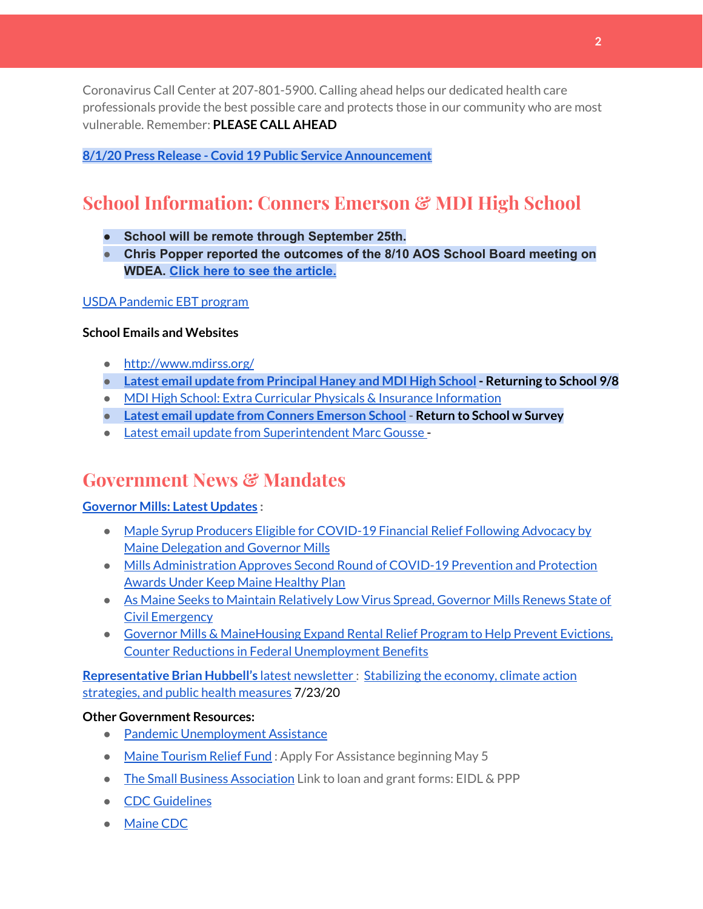Coronavirus Call Center at 207-801-5900. Calling ahead helps our dedicated health care professionals provide the best possible care and protects those in our community who are most vulnerable. Remember: **PLEASE CALL AHEAD**

#### **8/1/20 Press Release - Covid 19 Public Service [Announcement](https://www.mdihospital.org/news/covid-19-public-service-announcement/)**

# **School Information: Conners Emerson & MDI High School**

- **● School will be remote through September 25th.**
- **● Chris Popper reported the outcomes of the 8/10 AOS School Board meeting on WDEA. Click here to see the [article.](https://wdea.am/aos-91-board-votes-to-start-schools-september-8th-with-remote-learning-through-september-25-video/?trackback=fbshare_mobile&fbclid=IwAR23bDC1sAr5OR3eGMWIuymNzCkxdiBvB9apw4UDZJtBje4FE1wC_lsFI6Q)**

#### USDA [Pandemic](http://track.spe.schoolmessenger.com/f/a/j6GQx4nFl3Rld4Q68tYCuA~~/AAAAAQA~/RgRgu5_JP0SlaHR0cHM6Ly9tYWlsLmdvb2dsZS5jb20vbWFpbC91LzAvP3RhYj1jbSNzZWFyY2gvZnJvbSUzQStiZWVzbGV5L1doY3RLSlZyQ0NUS1JmUldCTFdkUVpGZ2pUVlhNdkRwUVpIa2NoRkJCc3NGcHJxZEtnWFF3S05Tamt3R1RxTFpaS21wTkRHP3Byb2plY3Rvcj0xJm1lc3NhZ2VQYXJ0SWQ9MC4xVwdzY2hvb2xtQgoARkls2l72Ls-jUhhiYXJoYXJib3JqZXdlbEBnbWFpbC5jb21YBAAAAAE~) EBT program

#### **School Emails and Websites**

- <http://www.mdirss.org/>
- **● Latest email update from [Principal](https://docs.google.com/document/d/1OKDsYNtOgV0FI9xAcXwQvenOKLV0S2vBg1o5jtu5CrE/edit?usp=sharing) Haney and MDI High School - Returning to School 9/8**
- MDI High School: Extra Curricular Physicals & Insurance [Information](https://wdea.am/mdihs-extracurricular-activity-physicals-and-insurance-information/?trackback=fbshare_mobile&fbclid=IwAR0wxPd824oG1ATLwkeI9s9n2sdpvEiyxeJGgB_mh2BlEJNT_AXiMynkobs)
- **● Latest email update from Conners [Emerson](https://docs.google.com/document/d/1v3pgkG6Q-9S3gisuUIj4etPVDwgBKl4P00JBkvZr-kk/edit?usp=sharing) School - Return to School w Survey**
- Latest email update from [Superintendent](https://docs.google.com/document/d/1fzeCbc8gpTSKmUaDoQH1Avx5PVl-h0reFphXrT1eUNA/edit?usp=sharing) Marc Gousse -

## **Government News & Mandates**

#### **[Governor](https://www.maine.gov/governor/mills/) Mills: Latest Updates :**

- Maple Syrup Producers Eligible for [COVID-19](https://www.maine.gov/governor/mills/news/maple-syrup-producers-eligible-covid-19-financial-relief-following-advocacy-maine-delegation) Financial Relief Following Advocacy by Maine [Delegation](https://www.maine.gov/governor/mills/news/maple-syrup-producers-eligible-covid-19-financial-relief-following-advocacy-maine-delegation) and Governor Mills
- Mills [Administration](https://www.maine.gov/governor/mills/news/mills-administration-approves-second-round-covid-19-prevention-and-protection-awards-under) Approves Second Round of COVID-19 Prevention and Protection Awards Under Keep Maine [Healthy](https://www.maine.gov/governor/mills/news/mills-administration-approves-second-round-covid-19-prevention-and-protection-awards-under) Plan
- As Maine Seeks to Maintain [Relatively](https://www.maine.gov/governor/mills/news/maine-seeks-maintain-relatively-low-virus-spread-governor-mills-renews-state-civil-emergency) Low Virus Spread, Governor Mills Renews State of Civil [Emergency](https://www.maine.gov/governor/mills/news/maine-seeks-maintain-relatively-low-virus-spread-governor-mills-renews-state-civil-emergency)
- Governor Mills & [MaineHousing](https://www.maine.gov/governor/mills/news/governor-mills-mainehousing-expand-rental-relief-program-help-prevent-evictions-counter) Expand Rental Relief Program to Help Prevent Evictions, Counter Reductions in Federal [Unemployment](https://www.maine.gov/governor/mills/news/governor-mills-mainehousing-expand-rental-relief-program-help-prevent-evictions-counter) Benefits

**[Representative](http://www.rephubbell.com/) Brian Hubbell's** latest [newsletter](http://www.rephubbell.com/) : [Stabilizing](http://www.rephubbell.com/2020/07/23/stabilizing-the-economy-climate-action-strategies-and-public-health-measures/) the economy, climate action [strategies,](http://www.rephubbell.com/2020/07/23/stabilizing-the-economy-climate-action-strategies-and-public-health-measures/) and public health measures 7/23/20

#### **Other Government Resources:**

- Pandemic [Unemployment](https://www.maine.gov/unemployment/pua/) Assistance
- Maine [Tourism](https://www.mainetourism.com/maine-tourism-relief-fund/) Relief Fund: Apply For Assistance beginning May 5
- The Small Business [Association](https://www.sba.gov/) Link to loan and grant forms: EIDL & PPP
- CDC [Guidelines](https://www.cdc.gov/coronavirus/2019-nCoV/index.html)
- [Maine](https://www.maine.gov/dhhs/mecdc/infectious-disease/epi/airborne/coronavirus.shtml#news) CDC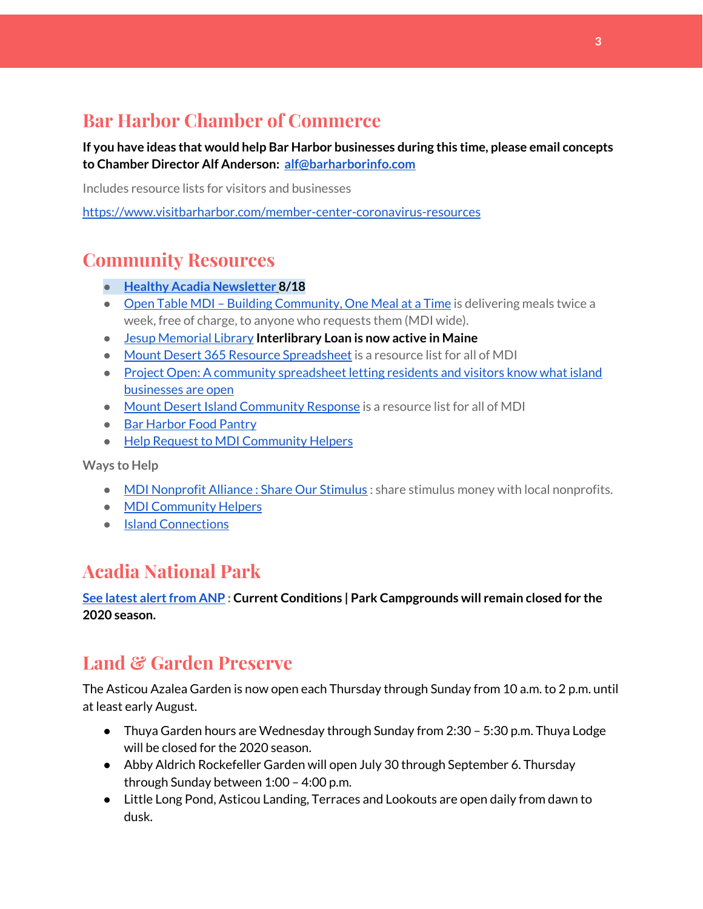## **Bar Harbor Chamber of Commerce**

**If you have ideas that would help Bar Harbor businesses during this time, please email concepts to Chamber Director Alf Anderson: [alf@barharborinfo.com](mailto:alf@barharborinfo.com)**

Includes resource lists for visitors and businesses

<https://www.visitbarharbor.com/member-center-coronavirus-resources>

## **Community Resources**

- **● Healthy Acadia [Newsletter](https://mailchi.mp/healthyacadia.org/august_18_2020) [8](https://mailchi.mp/healthyacadia.org/august_18_2020)/18**
- Open Table MDI Building [Community,](https://www.opentablemdi.org/) One Meal at a Time is delivering meals twice a week, free of charge, to anyone who requests them (MDI wide).
- Jesup [Memorial](https://jesuplibrary.org/) Library **Interlibrary Loan is now active in Maine**
- Mount Desert 365 Resource [Spreadsheet](https://docs.google.com/spreadsheets/d/1okAx6HSsgXZY9CGH07Dzi6rqe7a6m4dLCPKot2Li7Ek/edit?usp=sharing) is a resource list for all of MDI
- Project Open: A community [spreadsheet](https://docs.google.com/spreadsheets/d/1dBicBiBXGzzWEFd9oqL7EBDbFWjDCPl6SSMea_Kt4pc/htmlview#) letting residents and visitors know what island [businesses](https://docs.google.com/spreadsheets/d/1dBicBiBXGzzWEFd9oqL7EBDbFWjDCPl6SSMea_Kt4pc/htmlview#) are open
- Mount Desert Island [Community](https://www.mdicr.org/) Response is a resource list for all of MDI
- Bar [Harbor](https://www.barharborfoodpantry.org/) Food Pantry
- Help Request to MDI [Community](https://docs.google.com/forms/d/e/1FAIpQLSeZfu0tCcthHc9oL7tPomVRdniYiE7nbT_kkK9iCSRgqDhOvQ/viewform) Helpers

**Ways to Help**

- MDI [Nonprofit](https://sites.google.com/mdina.org/public/sos-mdi?authuser=0) Alliance : Share Our Stimulus : share stimulus money with local nonprofits.
- MDI [Community](https://docs.google.com/forms/d/e/1FAIpQLSe_CJUFdVvwJkmymWRqUeK8bx3m7n4uSOuUPYHqXSAyH2DBoQ/viewform?fbclid=IwAR25hjnWGhnMP0lOWMcBPRBumhtQCJGZO4hlk-T-VjNGZljL1kVX5pWrL6U) Helpers
- Island [Connections](http://islconnections.org/contact-us/)

# **Acadia National Park**

#### **See latest [alertfrom](https://www.nps.gov/acad/planyourvisit/conditions.htm) ANP : Current Conditions | Park Campgrounds will remain closed for the 2020 season.**

## **Land & Garden Preserve**

The Asticou Azalea Garden is now open each Thursday through Sunday from 10 a.m. to 2 p.m. until at least early August.

- Thuya Garden hours are Wednesday through Sunday from 2:30 5:30 p.m. Thuya Lodge will be closed for the 2020 season.
- Abby Aldrich Rockefeller Garden will open July 30 through September 6. Thursday through Sunday between 1:00 – 4:00 p.m.
- Little Long Pond, Asticou Landing, Terraces and Lookouts are open daily from dawn to dusk.